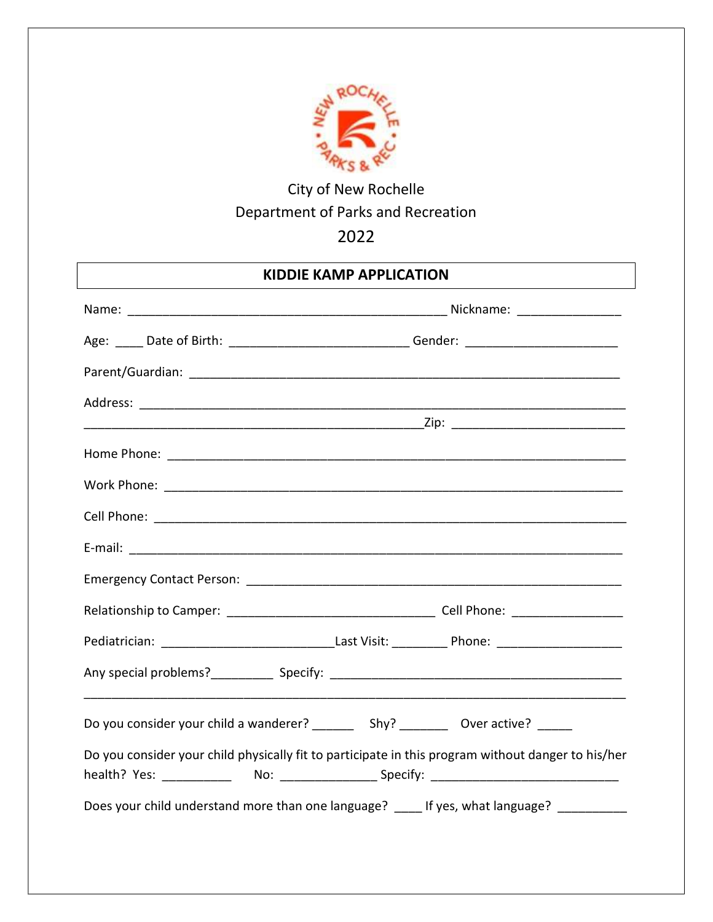

# City of New Rochelle Department of Parks and Recreation

## 2022

## KIDDIE KAMP APPLICATION

| Age: _____ Date of Birth: _______________________________Gender: ___________________________________ |  |  |  |  |
|------------------------------------------------------------------------------------------------------|--|--|--|--|
|                                                                                                      |  |  |  |  |
|                                                                                                      |  |  |  |  |
|                                                                                                      |  |  |  |  |
|                                                                                                      |  |  |  |  |
|                                                                                                      |  |  |  |  |
|                                                                                                      |  |  |  |  |
|                                                                                                      |  |  |  |  |
|                                                                                                      |  |  |  |  |
|                                                                                                      |  |  |  |  |
| Pediatrician: ___________________________________Last Visit: _____________Phone: ___________________ |  |  |  |  |
|                                                                                                      |  |  |  |  |
|                                                                                                      |  |  |  |  |
| Do you consider your child physically fit to participate in this program without danger to his/her   |  |  |  |  |
| Does your child understand more than one language? ____ If yes, what language? _________             |  |  |  |  |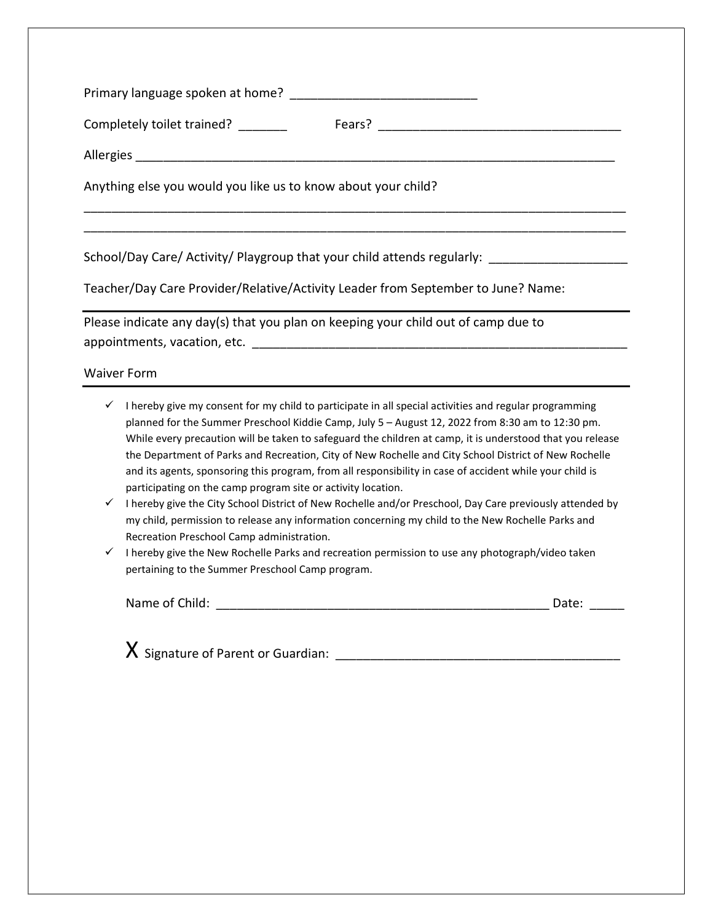| Anything else you would you like us to know about your child?                                                                                                                                                         |
|-----------------------------------------------------------------------------------------------------------------------------------------------------------------------------------------------------------------------|
|                                                                                                                                                                                                                       |
| School/Day Care/ Activity/ Playgroup that your child attends regularly: ___________________________                                                                                                                   |
| Teacher/Day Care Provider/Relative/Activity Leader from September to June? Name:                                                                                                                                      |
| Please indicate any day(s) that you plan on keeping your child out of camp due to                                                                                                                                     |
|                                                                                                                                                                                                                       |
| <b>Waiver Form</b>                                                                                                                                                                                                    |
| $\checkmark$ I hereby give my consent for my child to participate in all special activities and regular programming<br>planned for the Summer Preschool Kiddie Camp July 5 - August 12, 2022 from 8:20 am to 12:20 nm |

- planned for the Summer Preschool Kiddie Camp, July 5 August 12, 2022 from 8:30 am to 12:30 pm. While every precaution will be taken to safeguard the children at camp, it is understood that you release the Department of Parks and Recreation, City of New Rochelle and City School District of New Rochelle and its agents, sponsoring this program, from all responsibility in case of accident while your child is participating on the camp program site or activity location.
- $\checkmark$  I hereby give the City School District of New Rochelle and/or Preschool, Day Care previously attended by my child, permission to release any information concerning my child to the New Rochelle Parks and Recreation Preschool Camp administration.
- $\checkmark$  I hereby give the New Rochelle Parks and recreation permission to use any photograph/video taken pertaining to the Summer Preschool Camp program.

| Name of Child: | Dale. |  |
|----------------|-------|--|
|                |       |  |

X Signature of Parent or Guardian: \_\_\_\_\_\_\_\_\_\_\_\_\_\_\_\_\_\_\_\_\_\_\_\_\_\_\_\_\_\_\_\_\_\_\_\_\_\_\_\_\_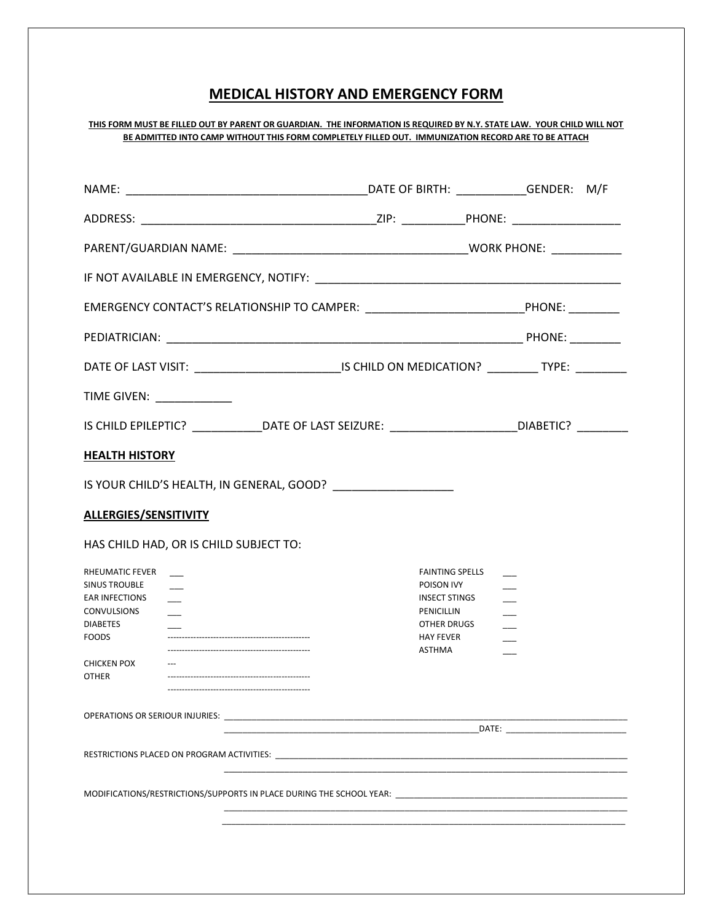### MEDICAL HISTORY AND EMERGENCY FORM

#### THIS FORM MUST BE FILLED OUT BY PARENT OR GUARDIAN. THE INFORMATION IS REQUIRED BY N.Y. STATE LAW. YOUR CHILD WILL NOT BE ADMITTED INTO CAMP WITHOUT THIS FORM COMPLETELY FILLED OUT. IMMUNIZATION RECORD ARE TO BE ATTACH

| EMERGENCY CONTACT'S RELATIONSHIP TO CAMPER: _______________________________PHONE: _________                                                              |                                                                                                                         |  |
|----------------------------------------------------------------------------------------------------------------------------------------------------------|-------------------------------------------------------------------------------------------------------------------------|--|
|                                                                                                                                                          |                                                                                                                         |  |
| DATE OF LAST VISIT: _______________________________IS CHILD ON MEDICATION? __________ TYPE: ________                                                     |                                                                                                                         |  |
| TIME GIVEN: _____________                                                                                                                                |                                                                                                                         |  |
| IS CHILD EPILEPTIC? _______________DATE OF LAST SEIZURE: ________________________DIABETIC? _________                                                     |                                                                                                                         |  |
| <b>HEALTH HISTORY</b>                                                                                                                                    |                                                                                                                         |  |
| IS YOUR CHILD'S HEALTH, IN GENERAL, GOOD?                                                                                                                |                                                                                                                         |  |
| ALLERGIES/SENSITIVITY                                                                                                                                    |                                                                                                                         |  |
| HAS CHILD HAD, OR IS CHILD SUBJECT TO:                                                                                                                   |                                                                                                                         |  |
| RHEUMATIC FEVER<br><b>SINUS TROUBLE</b><br><b>EAR INFECTIONS</b><br><b>CONVULSIONS</b><br><b>DIABETES</b><br><b>FOODS</b><br>CHICKEN POX<br><b>OTHER</b> | <b>FAINTING SPELLS</b><br>POISON IVY<br><b>INSECT STINGS</b><br>PENICILLIN<br>OTHER DRUGS<br><b>HAY FEVER</b><br>ASTHMA |  |
| OPERATIONS OR SERIOUR INJURIES: NAMEL AND THE SERIOUR SERIOUR SERIOUR SERIOUR SERIOUR SERIOUR SERIOUR SERIOUR                                            |                                                                                                                         |  |
|                                                                                                                                                          |                                                                                                                         |  |
|                                                                                                                                                          |                                                                                                                         |  |
|                                                                                                                                                          |                                                                                                                         |  |